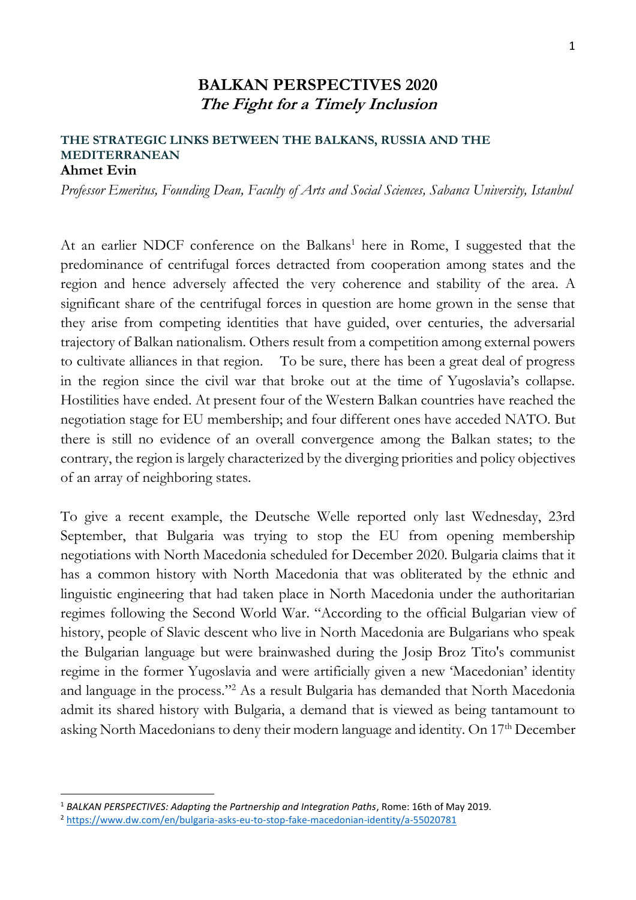## **BALKAN PERSPECTIVES 2020 The Fight for a Timely Inclusion**

## **THE STRATEGIC LINKS BETWEEN THE BALKANS, RUSSIA AND THE MEDITERRANEAN Ahmet Evin**

*Professor Emeritus, Founding Dean, Faculty of Arts and Social Sciences, Sabancı University, Istanbul* 

At an earlier NDCF conference on the Balkans<sup>1</sup> here in Rome, I suggested that the predominance of centrifugal forces detracted from cooperation among states and the region and hence adversely affected the very coherence and stability of the area. A significant share of the centrifugal forces in question are home grown in the sense that they arise from competing identities that have guided, over centuries, the adversarial trajectory of Balkan nationalism. Others result from a competition among external powers to cultivate alliances in that region. To be sure, there has been a great deal of progress in the region since the civil war that broke out at the time of Yugoslavia's collapse. Hostilities have ended. At present four of the Western Balkan countries have reached the negotiation stage for EU membership; and four different ones have acceded NATO. But there is still no evidence of an overall convergence among the Balkan states; to the contrary, the region is largely characterized by the diverging priorities and policy objectives of an array of neighboring states.

To give a recent example, the Deutsche Welle reported only last Wednesday, 23rd September, that Bulgaria was trying to stop the EU from opening membership negotiations with North Macedonia scheduled for December 2020. Bulgaria claims that it has a common history with North Macedonia that was obliterated by the ethnic and linguistic engineering that had taken place in North Macedonia under the authoritarian regimes following the Second World War. "According to the official Bulgarian view of history, people of Slavic descent who live in North Macedonia are Bulgarians who speak the Bulgarian language but were brainwashed during the Josip Broz Tito's communist regime in the former Yugoslavia and were artificially given a new 'Macedonian' identity and language in the process."<sup>2</sup> As a result Bulgaria has demanded that North Macedonia admit its shared history with Bulgaria, a demand that is viewed as being tantamount to asking North Macedonians to deny their modern language and identity. On 17th December

 $\overline{a}$ 

<sup>1</sup> *BALKAN PERSPECTIVES: Adapting the Partnership and Integration Paths*, Rome: 16th of May 2019.

<sup>2</sup> <https://www.dw.com/en/bulgaria-asks-eu-to-stop-fake-macedonian-identity/a-55020781>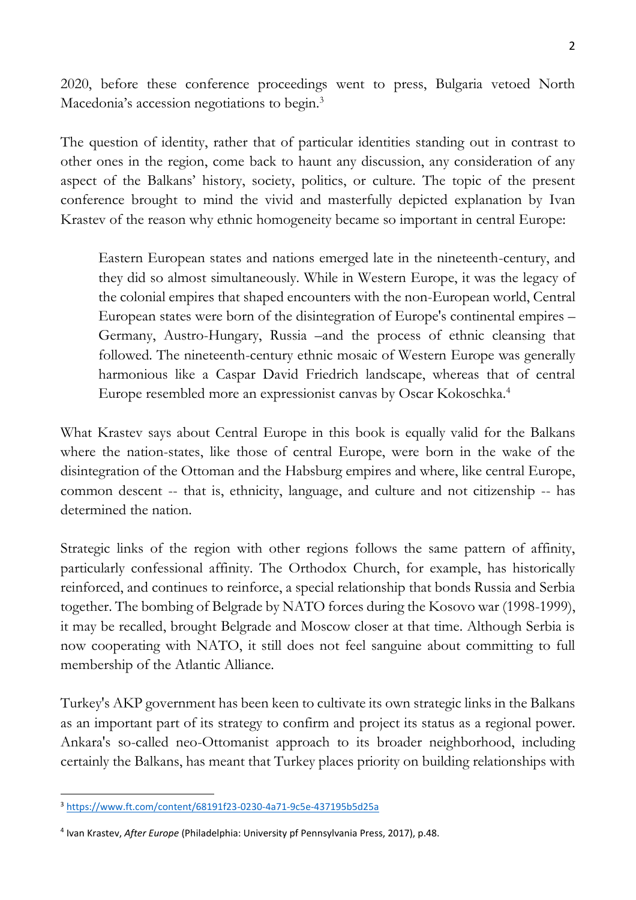2020, before these conference proceedings went to press, Bulgaria vetoed North Macedonia's accession negotiations to begin.<sup>3</sup>

The question of identity, rather that of particular identities standing out in contrast to other ones in the region, come back to haunt any discussion, any consideration of any aspect of the Balkans' history, society, politics, or culture. The topic of the present conference brought to mind the vivid and masterfully depicted explanation by Ivan Krastev of the reason why ethnic homogeneity became so important in central Europe:

Eastern European states and nations emerged late in the nineteenth-century, and they did so almost simultaneously. While in Western Europe, it was the legacy of the colonial empires that shaped encounters with the non-European world, Central European states were born of the disintegration of Europe's continental empires – Germany, Austro-Hungary, Russia –and the process of ethnic cleansing that followed. The nineteenth-century ethnic mosaic of Western Europe was generally harmonious like a Caspar David Friedrich landscape, whereas that of central Europe resembled more an expressionist canvas by Oscar Kokoschka.<sup>4</sup>

What Krastev says about Central Europe in this book is equally valid for the Balkans where the nation-states, like those of central Europe, were born in the wake of the disintegration of the Ottoman and the Habsburg empires and where, like central Europe, common descent -- that is, ethnicity, language, and culture and not citizenship -- has determined the nation.

Strategic links of the region with other regions follows the same pattern of affinity, particularly confessional affinity. The Orthodox Church, for example, has historically reinforced, and continues to reinforce, a special relationship that bonds Russia and Serbia together. The bombing of Belgrade by NATO forces during the Kosovo war (1998-1999), it may be recalled, brought Belgrade and Moscow closer at that time. Although Serbia is now cooperating with NATO, it still does not feel sanguine about committing to full membership of the Atlantic Alliance.

Turkey's AKP government has been keen to cultivate its own strategic links in the Balkans as an important part of its strategy to confirm and project its status as a regional power. Ankara's so-called neo-Ottomanist approach to its broader neighborhood, including certainly the Balkans, has meant that Turkey places priority on building relationships with

 $\overline{a}$ <sup>3</sup> <https://www.ft.com/content/68191f23-0230-4a71-9c5e-437195b5d25a>

<sup>4</sup> Ivan Krastev, *After Europe* (Philadelphia: University pf Pennsylvania Press, 2017), p.48.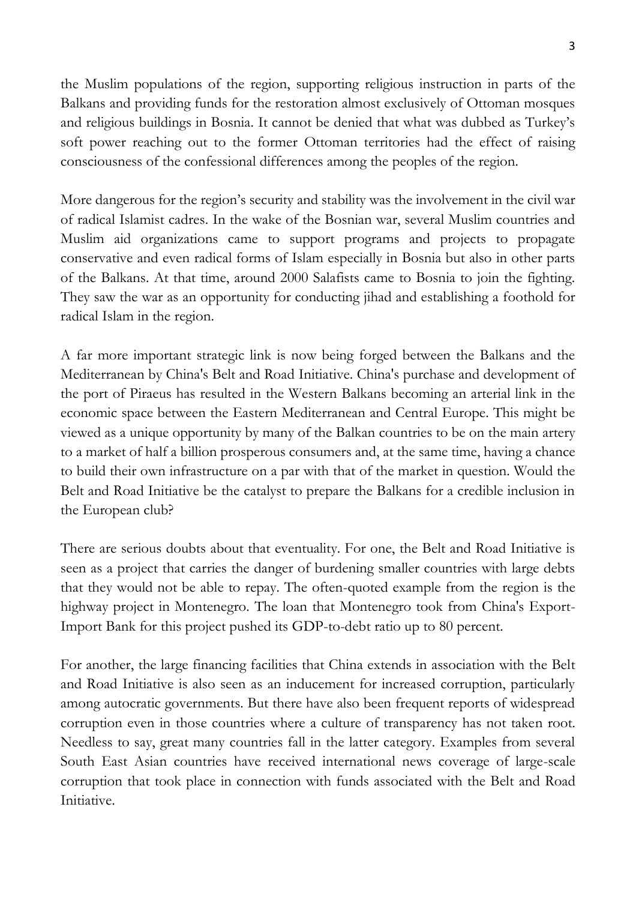the Muslim populations of the region, supporting religious instruction in parts of the Balkans and providing funds for the restoration almost exclusively of Ottoman mosques and religious buildings in Bosnia. It cannot be denied that what was dubbed as Turkey's soft power reaching out to the former Ottoman territories had the effect of raising consciousness of the confessional differences among the peoples of the region.

More dangerous for the region's security and stability was the involvement in the civil war of radical Islamist cadres. In the wake of the Bosnian war, several Muslim countries and Muslim aid organizations came to support programs and projects to propagate conservative and even radical forms of Islam especially in Bosnia but also in other parts of the Balkans. At that time, around 2000 Salafists came to Bosnia to join the fighting. They saw the war as an opportunity for conducting jihad and establishing a foothold for radical Islam in the region.

A far more important strategic link is now being forged between the Balkans and the Mediterranean by China's Belt and Road Initiative. China's purchase and development of the port of Piraeus has resulted in the Western Balkans becoming an arterial link in the economic space between the Eastern Mediterranean and Central Europe. This might be viewed as a unique opportunity by many of the Balkan countries to be on the main artery to a market of half a billion prosperous consumers and, at the same time, having a chance to build their own infrastructure on a par with that of the market in question. Would the Belt and Road Initiative be the catalyst to prepare the Balkans for a credible inclusion in the European club?

There are serious doubts about that eventuality. For one, the Belt and Road Initiative is seen as a project that carries the danger of burdening smaller countries with large debts that they would not be able to repay. The often-quoted example from the region is the highway project in Montenegro. The loan that Montenegro took from China's Export-Import Bank for this project pushed its GDP-to-debt ratio up to 80 percent.

For another, the large financing facilities that China extends in association with the Belt and Road Initiative is also seen as an inducement for increased corruption, particularly among autocratic governments. But there have also been frequent reports of widespread corruption even in those countries where a culture of transparency has not taken root. Needless to say, great many countries fall in the latter category. Examples from several South East Asian countries have received international news coverage of large-scale corruption that took place in connection with funds associated with the Belt and Road Initiative.